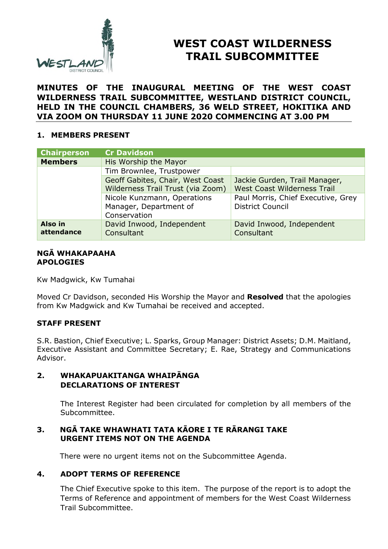

# **WEST COAST WILDERNESS TRAIL SUBCOMMITTEE**

# **MINUTES OF THE INAUGURAL MEETING OF THE WEST COAST WILDERNESS TRAIL SUBCOMMITTEE, WESTLAND DISTRICT COUNCIL, HELD IN THE COUNCIL CHAMBERS, 36 WELD STREET, HOKITIKA AND VIA ZOOM ON THURSDAY 11 JUNE 2020 COMMENCING AT 3.00 PM**

# **1. MEMBERS PRESENT**

| <b>Chairperson</b>    | <b>Cr Davidson</b>                      |                                         |
|-----------------------|-----------------------------------------|-----------------------------------------|
| <b>Members</b>        | His Worship the Mayor                   |                                         |
|                       | Tim Brownlee, Trustpower                |                                         |
|                       | Geoff Gabites, Chair, West Coast        | Jackie Gurden, Trail Manager,           |
|                       | Wilderness Trail Trust (via Zoom)       | <b>West Coast Wilderness Trail</b>      |
|                       | Nicole Kunzmann, Operations             | Paul Morris, Chief Executive, Grey      |
|                       | Manager, Department of<br>Conservation  | <b>District Council</b>                 |
| Also in<br>attendance | David Inwood, Independent<br>Consultant | David Inwood, Independent<br>Consultant |

#### **NGĀ WHAKAPAAHA APOLOGIES**

Kw Madgwick, Kw Tumahai

Moved Cr Davidson, seconded His Worship the Mayor and **Resolved** that the apologies from Kw Madgwick and Kw Tumahai be received and accepted.

# **STAFF PRESENT**

S.R. Bastion, Chief Executive; L. Sparks, Group Manager: District Assets; D.M. Maitland, Executive Assistant and Committee Secretary; E. Rae, Strategy and Communications Advisor.

# **2. WHAKAPUAKITANGA WHAIPĀNGA DECLARATIONS OF INTEREST**

The Interest Register had been circulated for completion by all members of the Subcommittee.

# **3. NGĀ TAKE WHAWHATI TATA KĀORE I TE RĀRANGI TAKE URGENT ITEMS NOT ON THE AGENDA**

There were no urgent items not on the Subcommittee Agenda.

# **4. ADOPT TERMS OF REFERENCE**

The Chief Executive spoke to this item. The purpose of the report is to adopt the Terms of Reference and appointment of members for the West Coast Wilderness Trail Subcommittee.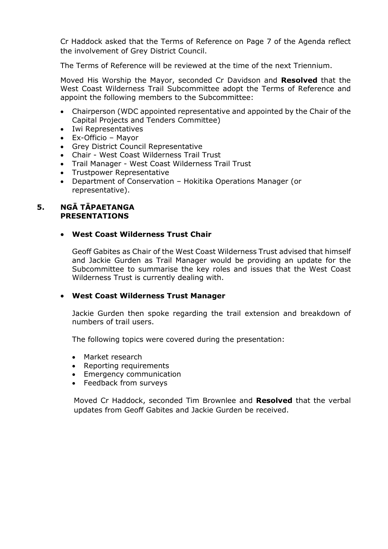Cr Haddock asked that the Terms of Reference on Page 7 of the Agenda reflect the involvement of Grey District Council.

The Terms of Reference will be reviewed at the time of the next Triennium.

Moved His Worship the Mayor, seconded Cr Davidson and **Resolved** that the West Coast Wilderness Trail Subcommittee adopt the Terms of Reference and appoint the following members to the Subcommittee:

- Chairperson (WDC appointed representative and appointed by the Chair of the Capital Projects and Tenders Committee)
- Iwi Representatives
- Ex-Officio Mayor
- Grey District Council Representative
- Chair West Coast Wilderness Trail Trust
- Trail Manager West Coast Wilderness Trail Trust
- Trustpower Representative
- Department of Conservation Hokitika Operations Manager (or representative).

#### **5. NGĀ TĀPAETANGA PRESENTATIONS**

#### **West Coast Wilderness Trust Chair**

Geoff Gabites as Chair of the West Coast Wilderness Trust advised that himself and Jackie Gurden as Trail Manager would be providing an update for the Subcommittee to summarise the key roles and issues that the West Coast Wilderness Trust is currently dealing with.

# **West Coast Wilderness Trust Manager**

Jackie Gurden then spoke regarding the trail extension and breakdown of numbers of trail users.

The following topics were covered during the presentation:

- Market research
- Reporting requirements
- **•** Emergency communication
- Feedback from surveys

Moved Cr Haddock, seconded Tim Brownlee and **Resolved** that the verbal updates from Geoff Gabites and Jackie Gurden be received.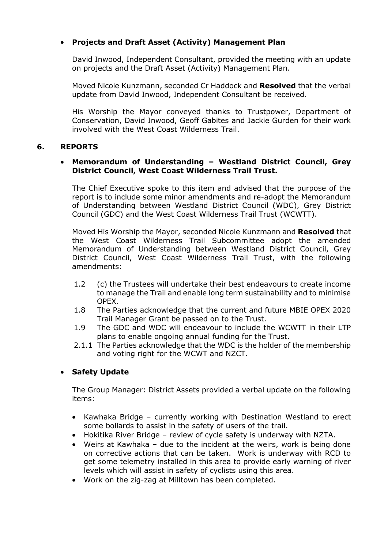# **Projects and Draft Asset (Activity) Management Plan**

David Inwood, Independent Consultant, provided the meeting with an update on projects and the Draft Asset (Activity) Management Plan.

Moved Nicole Kunzmann, seconded Cr Haddock and **Resolved** that the verbal update from David Inwood, Independent Consultant be received.

His Worship the Mayor conveyed thanks to Trustpower, Department of Conservation, David Inwood, Geoff Gabites and Jackie Gurden for their work involved with the West Coast Wilderness Trail.

# **6. REPORTS**

# **Memorandum of Understanding – Westland District Council, Grey District Council, West Coast Wilderness Trail Trust.**

The Chief Executive spoke to this item and advised that the purpose of the report is to include some minor amendments and re-adopt the Memorandum of Understanding between Westland District Council (WDC), Grey District Council (GDC) and the West Coast Wilderness Trail Trust (WCWTT).

Moved His Worship the Mayor, seconded Nicole Kunzmann and **Resolved** that the West Coast Wilderness Trail Subcommittee adopt the amended Memorandum of Understanding between Westland District Council, Grey District Council, West Coast Wilderness Trail Trust, with the following amendments:

- 1.2 (c) the Trustees will undertake their best endeavours to create income to manage the Trail and enable long term sustainability and to minimise OPEX.
- 1.8 The Parties acknowledge that the current and future MBIE OPEX 2020 Trail Manager Grant be passed on to the Trust.
- 1.9 The GDC and WDC will endeavour to include the WCWTT in their LTP plans to enable ongoing annual funding for the Trust.
- 2.1.1 The Parties acknowledge that the WDC is the holder of the membership and voting right for the WCWT and NZCT.

# **Safety Update**

The Group Manager: District Assets provided a verbal update on the following items:

- Kawhaka Bridge currently working with Destination Westland to erect some bollards to assist in the safety of users of the trail.
- Hokitika River Bridge review of cycle safety is underway with NZTA.
- Weirs at Kawhaka due to the incident at the weirs, work is being done on corrective actions that can be taken. Work is underway with RCD to get some telemetry installed in this area to provide early warning of river levels which will assist in safety of cyclists using this area.
- Work on the zig-zag at Milltown has been completed.